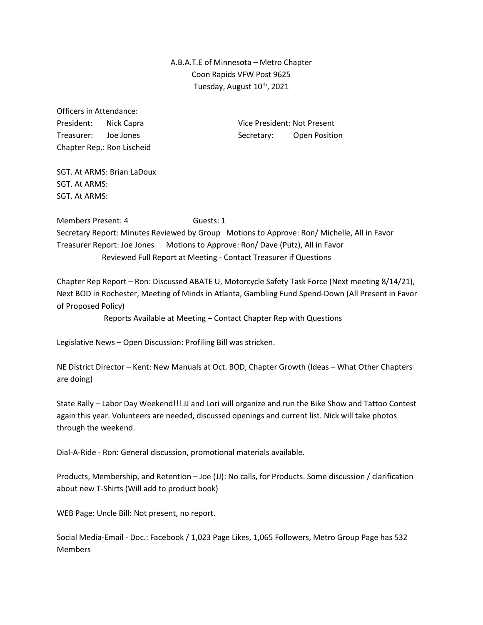## A.B.A.T.E of Minnesota – Metro Chapter Coon Rapids VFW Post 9625 Tuesday, August 10<sup>th</sup>, 2021

Officers in Attendance: Chapter Rep.: Ron Lischeid

President: Nick Capra Vice President: Not Present Treasurer: Joe Jones Secretary: Open Position

SGT. At ARMS: Brian LaDoux SGT. At ARMS: SGT. At ARMS:

Members Present: 4 Guests: 1 Secretary Report: Minutes Reviewed by Group Motions to Approve: Ron/ Michelle, All in Favor Treasurer Report: Joe Jones Motions to Approve: Ron/ Dave (Putz), All in Favor Reviewed Full Report at Meeting - Contact Treasurer if Questions

Chapter Rep Report – Ron: Discussed ABATE U, Motorcycle Safety Task Force (Next meeting 8/14/21), Next BOD in Rochester, Meeting of Minds in Atlanta, Gambling Fund Spend-Down (All Present in Favor of Proposed Policy)

Reports Available at Meeting – Contact Chapter Rep with Questions

Legislative News – Open Discussion: Profiling Bill was stricken.

NE District Director – Kent: New Manuals at Oct. BOD, Chapter Growth (Ideas – What Other Chapters are doing)

State Rally – Labor Day Weekend!!! JJ and Lori will organize and run the Bike Show and Tattoo Contest again this year. Volunteers are needed, discussed openings and current list. Nick will take photos through the weekend.

Dial-A-Ride - Ron: General discussion, promotional materials available.

Products, Membership, and Retention – Joe (JJ): No calls, for Products. Some discussion / clarification about new T-Shirts (Will add to product book)

WEB Page: Uncle Bill: Not present, no report.

Social Media-Email - Doc.: Facebook / 1,023 Page Likes, 1,065 Followers, Metro Group Page has 532 Members